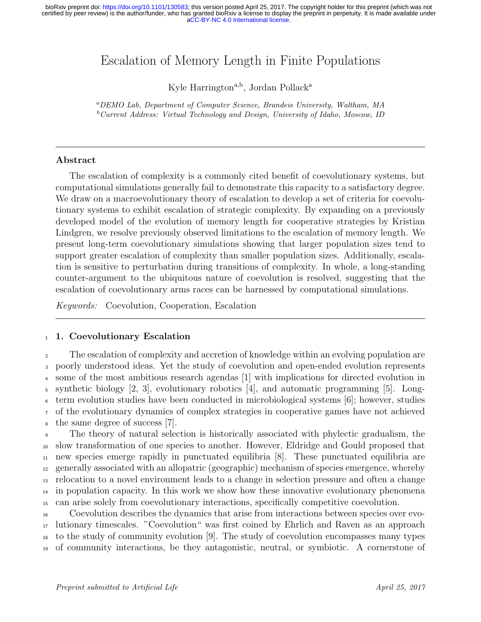## Escalation of Memory Length in Finite Populations

Kyle Harrington<sup>a,b</sup>, Jordan Pollack<sup>a</sup>

<sup>a</sup>DEMO Lab, Department of Computer Science, Brandeis University, Waltham, MA <sup>b</sup>Current Address: Virtual Technology and Design, University of Idaho, Moscow, ID

### Abstract

The escalation of complexity is a commonly cited benefit of coevolutionary systems, but computational simulations generally fail to demonstrate this capacity to a satisfactory degree. We draw on a macroevolutionary theory of escalation to develop a set of criteria for coevolutionary systems to exhibit escalation of strategic complexity. By expanding on a previously developed model of the evolution of memory length for cooperative strategies by Kristian Lindgren, we resolve previously observed limitations to the escalation of memory length. We present long-term coevolutionary simulations showing that larger population sizes tend to support greater escalation of complexity than smaller population sizes. Additionally, escalation is sensitive to perturbation during transitions of complexity. In whole, a long-standing counter-argument to the ubiquitous nature of coevolution is resolved, suggesting that the escalation of coevolutionary arms races can be harnessed by computational simulations.

Keywords: Coevolution, Cooperation, Escalation

### <sup>1</sup> 1. Coevolutionary Escalation

 The escalation of complexity and accretion of knowledge within an evolving population are poorly understood ideas. Yet the study of coevolution and open-ended evolution represents some of the most ambitious research agendas [1] with implications for directed evolution in synthetic biology [2, 3], evolutionary robotics [4], and automatic programming [5]. Long- term evolution studies have been conducted in microbiological systems [6]; however, studies of the evolutionary dynamics of complex strategies in cooperative games have not achieved the same degree of success [7].

 The theory of natural selection is historically associated with phylectic gradualism, the slow transformation of one species to another. However, Eldridge and Gould proposed that new species emerge rapidly in punctuated equilibria [8]. These punctuated equilibria are generally associated with an allopatric (geographic) mechanism of species emergence, whereby relocation to a novel environment leads to a change in selection pressure and often a change in population capacity. In this work we show how these innovative evolutionary phenomena can arise solely from coevolutionary interactions, specifically competitive coevolution.

 Coevolution describes the dynamics that arise from interactions between species over evo- lutionary timescales. "Coevolution" was first coined by Ehrlich and Raven as an approach to the study of community evolution [9]. The study of coevolution encompasses many types of community interactions, be they antagonistic, neutral, or symbiotic. A cornerstone of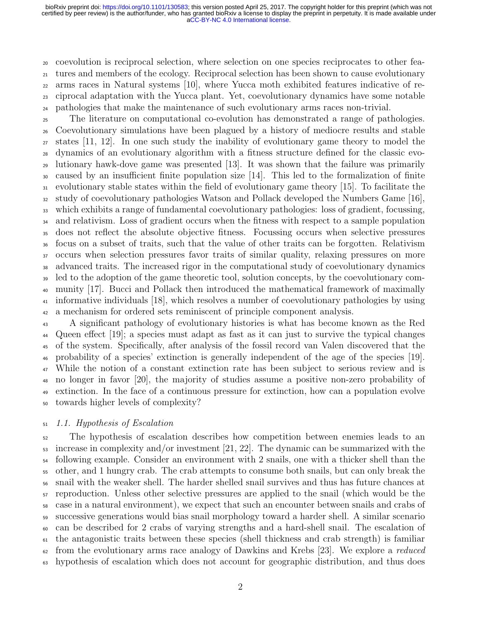coevolution is reciprocal selection, where selection on one species reciprocates to other fea-<sup>21</sup> tures and members of the ecology. Reciprocal selection has been shown to cause evolutionary arms races in Natural systems [10], where Yucca moth exhibited features indicative of re- ciprocal adaptation with the Yucca plant. Yet, coevolutionary dynamics have some notable pathologies that make the maintenance of such evolutionary arms races non-trivial.

 The literature on computational co-evolution has demonstrated a range of pathologies. Coevolutionary simulations have been plagued by a history of mediocre results and stable states [11, 12]. In one such study the inability of evolutionary game theory to model the dynamics of an evolutionary algorithm with a fitness structure defined for the classic evo- lutionary hawk-dove game was presented [13]. It was shown that the failure was primarily caused by an insufficient finite population size [14]. This led to the formalization of finite evolutionary stable states within the field of evolutionary game theory [15]. To facilitate the study of coevolutionary pathologies Watson and Pollack developed the Numbers Game [16], which exhibits a range of fundamental coevolutionary pathologies: loss of gradient, focussing, <sup>34</sup> and relativism. Loss of gradient occurs when the fitness with respect to a sample population does not reflect the absolute objective fitness. Focussing occurs when selective pressures focus on a subset of traits, such that the value of other traits can be forgotten. Relativism occurs when selection pressures favor traits of similar quality, relaxing pressures on more advanced traits. The increased rigor in the computational study of coevolutionary dynamics <sup>39</sup> led to the adoption of the game theoretic tool, solution concepts, by the coevolutionary com- munity [17]. Bucci and Pollack then introduced the mathematical framework of maximally informative individuals [18], which resolves a number of coevolutionary pathologies by using a mechanism for ordered sets reminiscent of principle component analysis.

 A significant pathology of evolutionary histories is what has become known as the Red Queen effect [19]; a species must adapt as fast as it can just to survive the typical changes of the system. Specifically, after analysis of the fossil record van Valen discovered that the probability of a species' extinction is generally independent of the age of the species [19]. While the notion of a constant extinction rate has been subject to serious review and is no longer in favor [20], the majority of studies assume a positive non-zero probability of extinction. In the face of a continuous pressure for extinction, how can a population evolve towards higher levels of complexity?

### 1.1. Hypothesis of Escalation

 The hypothesis of escalation describes how competition between enemies leads to an  $\frac{1}{53}$  increase in complexity and/or investment [21, 22]. The dynamic can be summarized with the <sup>54</sup> following example. Consider an environment with 2 snails, one with a thicker shell than the other, and 1 hungry crab. The crab attempts to consume both snails, but can only break the snail with the weaker shell. The harder shelled snail survives and thus has future chances at reproduction. Unless other selective pressures are applied to the snail (which would be the case in a natural environment), we expect that such an encounter between snails and crabs of successive generations would bias snail morphology toward a harder shell. A similar scenario can be described for 2 crabs of varying strengths and a hard-shell snail. The escalation of the antagonistic traits between these species (shell thickness and crab strength) is familiar  $\epsilon_2$  from the evolutionary arms race analogy of Dawkins and Krebs [23]. We explore a *reduced* hypothesis of escalation which does not account for geographic distribution, and thus does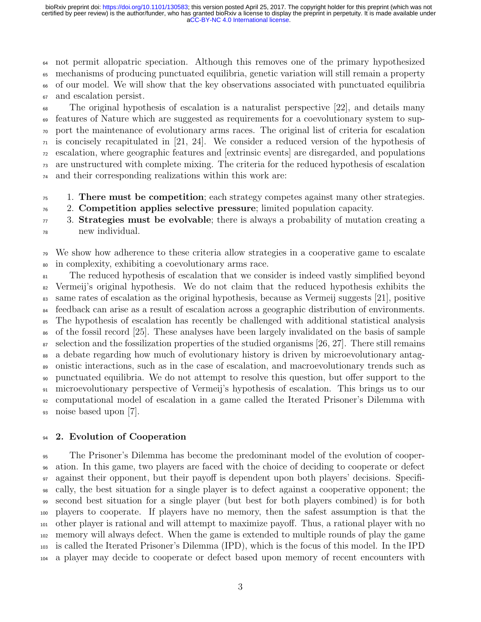not permit allopatric speciation. Although this removes one of the primary hypothesized mechanisms of producing punctuated equilibria, genetic variation will still remain a property of our model. We will show that the key observations associated with punctuated equilibria and escalation persist.

 The original hypothesis of escalation is a naturalist perspective [22], and details many features of Nature which are suggested as requirements for a coevolutionary system to sup- port the maintenance of evolutionary arms races. The original list of criteria for escalation  $\pi$  is concisely recapitulated in [21, 24]. We consider a reduced version of the hypothesis of escalation, where geographic features and [extrinsic events] are disregarded, and populations are unstructured with complete mixing. The criteria for the reduced hypothesis of escalation and their corresponding realizations within this work are:

 $\tau_5$  1. There must be competition; each strategy competes against many other strategies.

 $76\sigma$  2. Competition applies selective pressure; limited population capacity.

 3. Strategies must be evolvable; there is always a probability of mutation creating a new individual.

 We show how adherence to these criteria allow strategies in a cooperative game to escalate in complexity, exhibiting a coevolutionary arms race.

 The reduced hypothesis of escalation that we consider is indeed vastly simplified beyond Vermeij's original hypothesis. We do not claim that the reduced hypothesis exhibits the same rates of escalation as the original hypothesis, because as Vermeij suggests [21], positive <sup>84</sup> feedback can arise as a result of escalation across a geographic distribution of environments. The hypothesis of escalation has recently be challenged with additional statistical analysis of the fossil record [25]. These analyses have been largely invalidated on the basis of sample  $\frac{1}{87}$  selection and the fossilization properties of the studied organisms [26, 27]. There still remains a debate regarding how much of evolutionary history is driven by microevolutionary antag- onistic interactions, such as in the case of escalation, and macroevolutionary trends such as punctuated equilibria. We do not attempt to resolve this question, but offer support to the microevolutionary perspective of Vermeij's hypothesis of escalation. This brings us to our computational model of escalation in a game called the Iterated Prisoner's Dilemma with noise based upon [7].

### 2. Evolution of Cooperation

 The Prisoner's Dilemma has become the predominant model of the evolution of cooper- ation. In this game, two players are faced with the choice of deciding to cooperate or defect against their opponent, but their payoff is dependent upon both players' decisions. Specifi- cally, the best situation for a single player is to defect against a cooperative opponent; the second best situation for a single player (but best for both players combined) is for both players to cooperate. If players have no memory, then the safest assumption is that the other player is rational and will attempt to maximize payoff. Thus, a rational player with no memory will always defect. When the game is extended to multiple rounds of play the game is called the Iterated Prisoner's Dilemma (IPD), which is the focus of this model. In the IPD a player may decide to cooperate or defect based upon memory of recent encounters with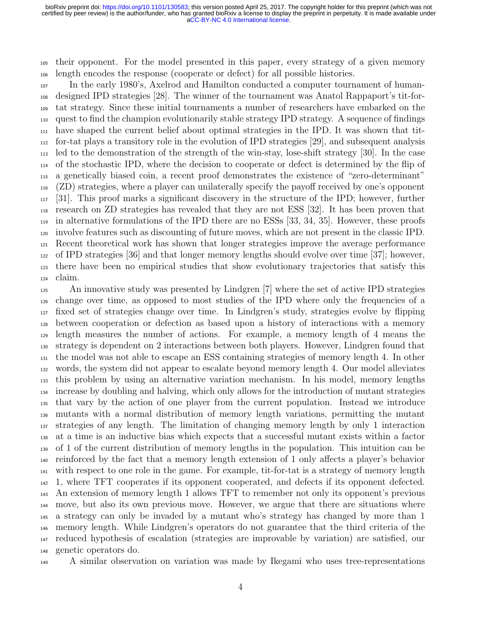their opponent. For the model presented in this paper, every strategy of a given memory length encodes the response (cooperate or defect) for all possible histories.

 In the early 1980's, Axelrod and Hamilton conducted a computer tournament of human- designed IPD strategies [28]. The winner of the tournament was Anatol Rappaport's tit-for- tat strategy. Since these initial tournaments a number of researchers have embarked on the quest to find the champion evolutionarily stable strategy IPD strategy. A sequence of findings have shaped the current belief about optimal strategies in the IPD. It was shown that tit- for-tat plays a transitory role in the evolution of IPD strategies [29], and subsequent analysis led to the demonstration of the strength of the win-stay, lose-shift strategy [30]. In the case of the stochastic IPD, where the decision to cooperate or defect is determined by the flip of a genetically biased coin, a recent proof demonstrates the existence of "zero-determinant" (ZD) strategies, where a player can unilaterally specify the payoff received by one's opponent [31]. This proof marks a significant discovery in the structure of the IPD; however, further research on ZD strategies has revealed that they are not ESS [32]. It has been proven that in alternative formulations of the IPD there are no ESSs [33, 34, 35]. However, these proofs involve features such as discounting of future moves, which are not present in the classic IPD. Recent theoretical work has shown that longer strategies improve the average performance of IPD strategies [36] and that longer memory lengths should evolve over time [37]; however, there have been no empirical studies that show evolutionary trajectories that satisfy this claim.

 An innovative study was presented by Lindgren [7] where the set of active IPD strategies change over time, as opposed to most studies of the IPD where only the frequencies of a fixed set of strategies change over time. In Lindgren's study, strategies evolve by flipping between cooperation or defection as based upon a history of interactions with a memory length measures the number of actions. For example, a memory length of 4 means the strategy is dependent on 2 interactions between both players. However, Lindgren found that the model was not able to escape an ESS containing strategies of memory length 4. In other words, the system did not appear to escalate beyond memory length 4. Our model alleviates this problem by using an alternative variation mechanism. In his model, memory lengths increase by doubling and halving, which only allows for the introduction of mutant strategies that vary by the action of one player from the current population. Instead we introduce mutants with a normal distribution of memory length variations, permitting the mutant strategies of any length. The limitation of changing memory length by only 1 interaction at a time is an inductive bias which expects that a successful mutant exists within a factor of 1 of the current distribution of memory lengths in the population. This intuition can be reinforced by the fact that a memory length extension of 1 only affects a player's behavior with respect to one role in the game. For example, tit-for-tat is a strategy of memory length 1, where TFT cooperates if its opponent cooperated, and defects if its opponent defected. An extension of memory length 1 allows TFT to remember not only its opponent's previous move, but also its own previous move. However, we argue that there are situations where a strategy can only be invaded by a mutant who's strategy has changed by more than 1 memory length. While Lindgren's operators do not guarantee that the third criteria of the reduced hypothesis of escalation (strategies are improvable by variation) are satisfied, our genetic operators do.

A similar observation on variation was made by Ikegami who uses tree-representations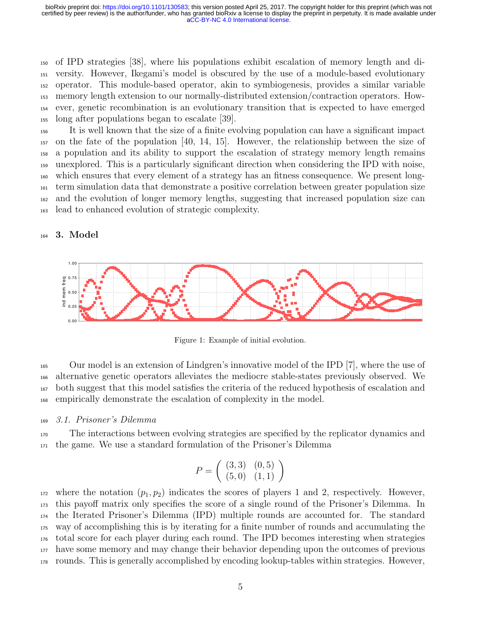of IPD strategies [38], where his populations exhibit escalation of memory length and di- versity. However, Ikegami's model is obscured by the use of a module-based evolutionary operator. This module-based operator, akin to symbiogenesis, provides a similar variable memory length extension to our normally-distributed extension/contraction operators. How- ever, genetic recombination is an evolutionary transition that is expected to have emerged long after populations began to escalate [39].

 It is well known that the size of a finite evolving population can have a significant impact on the fate of the population [40, 14, 15]. However, the relationship between the size of a population and its ability to support the escalation of strategy memory length remains unexplored. This is a particularly significant direction when considering the IPD with noise, which ensures that every element of a strategy has an fitness consequence. We present long- term simulation data that demonstrate a positive correlation between greater population size and the evolution of longer memory lengths, suggesting that increased population size can lead to enhanced evolution of strategic complexity.

### <sup>164</sup> 3. Model



Figure 1: Example of initial evolution.

1 <sup>166</sup> alternative genetic operators alleviates the mediocre stable-states previously observed. We 168 empirically demonstrate the escalation of complexity in the model. 167 both suggest that this model satisfies the criteria of the reduced hypothesis of escalation and <sup>165</sup> Our model is an extension of Lindgren's innovative model of the IPD [7], where the use of

# mem frequencies continuously to the continuously to the continuously to the continuously to the continuously to the continuously of the continuously to the continuously of the continuously to the continuously to the contin

0.35 <sup>171</sup> the game. We use a standard formulation of the Prisoner's Dilemma <sup>170</sup> The interactions between evolving strategies are specified by the replicator dynamics and

$$
P = \left( \begin{array}{cc} (3,3) & (0,5) \\ (5,0) & (1,1) \end{array} \right)
$$

Memory $\frac{1}{2}$  Memory $\frac{1}{2}$  Memory $\frac{1}{2}$  Memory $\frac{1}{2}$  Memory12 Memory11 Memory11 Memory11 Memory11 Memory11 Memory11 175 way of accomplishing this is by iterating for a finite number of rounds and accumulating the 176 total score for each player during each round. The IPD becomes interesting when strategies 173 this payoff matrix only specifies the score of a single round of the Prisoner's Dilemma. In 174 the Iterated Prisoner's Dilemma (IPD) multiple rounds are accounted for. The standard 61. <sup>172</sup> where the notation  $(p_1, p_2)$  indicates the scores of players 1 and 2, respectively. However, <sup>177</sup> have some memory and may change their behavior depending upon the outcomes of previous <sup>178</sup> rounds. This is generally accomplished by encoding lookup-tables within strategies. However,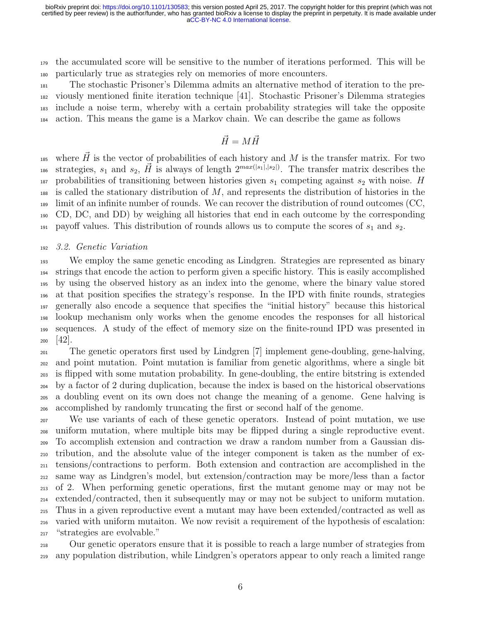<sub>179</sub> the accumulated score will be sensitive to the number of iterations performed. This will be particularly true as strategies rely on memories of more encounters.

 The stochastic Prisoner's Dilemma admits an alternative method of iteration to the pre- viously mentioned finite iteration technique [41]. Stochastic Prisoner's Dilemma strategies include a noise term, whereby with a certain probability strategies will take the opposite action. This means the game is a Markov chain. We can describe the game as follows

$$
\vec{H} = M \vec{H}
$$

185 where H is the vector of probabilities of each history and M is the transfer matrix. For two <sup>186</sup> strategies,  $s_1$  and  $s_2$ ,  $\vec{H}$  is always of length  $2^{max(|s_1|,|s_2|)}$ . The transfer matrix describes the probabilities of transitioning between histories given  $s_1$  competing against  $s_2$  with noise. H  $_{188}$  is called the stationary distribution of M, and represents the distribution of histories in the limit of an infinite number of rounds. We can recover the distribution of round outcomes (CC, CD, DC, and DD) by weighing all histories that end in each outcome by the corresponding 191 payoff values. This distribution of rounds allows us to compute the scores of  $s_1$  and  $s_2$ .

#### 3.2. Genetic Variation

 We employ the same genetic encoding as Lindgren. Strategies are represented as binary strings that encode the action to perform given a specific history. This is easily accomplished by using the observed history as an index into the genome, where the binary value stored at that position specifies the strategy's response. In the IPD with finite rounds, strategies generally also encode a sequence that specifies the "initial history" because this historical lookup mechanism only works when the genome encodes the responses for all historical sequences. A study of the effect of memory size on the finite-round IPD was presented in [42].

 The genetic operators first used by Lindgren [7] implement gene-doubling, gene-halving, and point mutation. Point mutation is familiar from genetic algorithms, where a single bit is flipped with some mutation probability. In gene-doubling, the entire bitstring is extended by a factor of 2 during duplication, because the index is based on the historical observations a doubling event on its own does not change the meaning of a genome. Gene halving is accomplished by randomly truncating the first or second half of the genome.

 We use variants of each of these genetic operators. Instead of point mutation, we use uniform mutation, where multiple bits may be flipped during a single reproductive event. To accomplish extension and contraction we draw a random number from a Gaussian dis- tribution, and the absolute value of the integer component is taken as the number of ex- tensions/contractions to perform. Both extension and contraction are accomplished in the same way as Lindgren's model, but extension/contraction may be more/less than a factor of 2. When performing genetic operations, first the mutant genome may or may not be extended/contracted, then it subsequently may or may not be subject to uniform mutation. Thus in a given reproductive event a mutant may have been extended/contracted as well as varied with uniform mutaiton. We now revisit a requirement of the hypothesis of escalation: "strategies are evolvable."

 Our genetic operators ensure that it is possible to reach a large number of strategies from any population distribution, while Lindgren's operators appear to only reach a limited range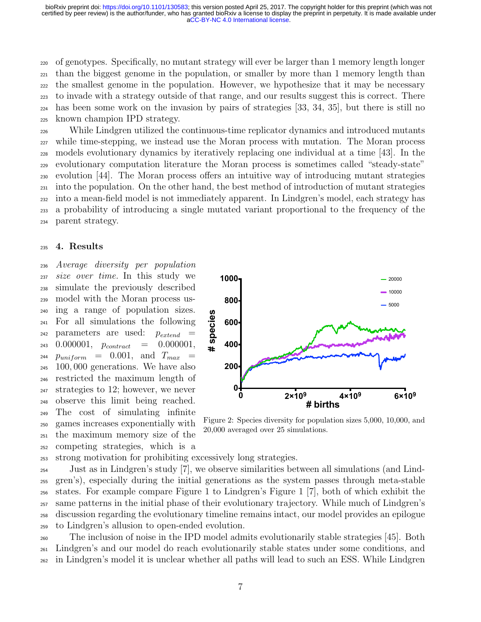of genotypes. Specifically, no mutant strategy will ever be larger than 1 memory length longer than the biggest genome in the population, or smaller by more than 1 memory length than the smallest genome in the population. However, we hypothesize that it may be necessary to invade with a strategy outside of that range, and our results suggest this is correct. There has been some work on the invasion by pairs of strategies [33, 34, 35], but there is still no known champion IPD strategy.

 While Lindgren utilized the continuous-time replicator dynamics and introduced mutants while time-stepping, we instead use the Moran process with mutation. The Moran process models evolutionary dynamics by iteratively replacing one individual at a time [43]. In the evolutionary computation literature the Moran process is sometimes called "steady-state" evolution [44]. The Moran process offers an intuitive way of introducing mutant strategies into the population. On the other hand, the best method of introduction of mutant strategies into a mean-field model is not immediately apparent. In Lindgren's model, each strategy has a probability of introducing a single mutated variant proportional to the frequency of the parent strategy.

### 4. Results

 Average diversity per population size over time. In this study we simulate the previously described model with the Moran process us- ing a range of population sizes. For all simulations the following 242 parameters are used:  $p_{extend}$  0.000001,  $p_{contract} = 0.000001$ , <sup>244</sup>  $p_{uniform} = 0.001$ , and  $T_{max}$  100, 000 generations. We have also restricted the maximum length of strategies to 12; however, we never observe this limit being reached. The cost of simulating infinite games increases exponentially with the maximum memory size of the competing strategies, which is a



Figure 2: Species diversity for population sizes 5,000, 10,000, and 20,000 averaged over 25 simulations.

strong motivation for prohibiting excessively long strategies.

 Just as in Lindgren's study [7], we observe similarities between all simulations (and Lind- gren's), especially during the initial generations as the system passes through meta-stable states. For example compare Figure 1 to Lindgren's Figure 1 [7], both of which exhibit the same patterns in the initial phase of their evolutionary trajectory. While much of Lindgren's discussion regarding the evolutionary timeline remains intact, our model provides an epilogue to Lindgren's allusion to open-ended evolution.

 The inclusion of noise in the IPD model admits evolutionarily stable strategies [45]. Both Lindgren's and our model do reach evolutionarily stable states under some conditions, and in Lindgren's model it is unclear whether all paths will lead to such an ESS. While Lindgren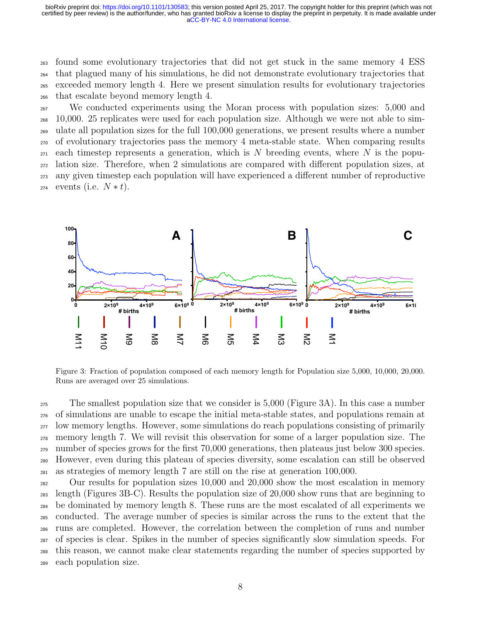found some evolutionary trajectories that did not get stuck in the same memory 4 ESS **10** that plagued many of his simulations, he did not demonstrate evolutionary trajectories that **9** exceeded memory length 4. Here we present simulation results for evolutionary trajectories that escalate beyond memory length 4.

<sup>267</sup> We conducted experiments using the Moran process with population sizes: 5,000 and <sup>268</sup> 10,000. 25 replicates were used for each population size. Although we were not able to sim-<sup>269</sup> ulate all population sizes for the full 100,000 generations, we present results where a number <sup>270</sup> of evolutionary trajectories pass the memory 4 meta-stable state. When comparing results  $\alpha$ <sub>271</sub> each timestep represents a generation, which is N breeding events, where N is the popu-<sup>272</sup> lation size. Therefore, when 2 simulations are compared with different population sizes, at <sub>272</sub> lation size. Therefore, when 2 simulations are compared with different population sizes, at<br><sub>273</sub> any given timestep each population will have experienced a different number of reproductive 274 events (i.e.  $N * t$ ). ed<br>| co<br>| 25<br>| pirths



Figure 3: Fraction of population composed of each memory length for Population size 5,000, 10,000, 20,000. Runs are averaged over 25 simulations.

 The smallest population size that we consider is 5,000 (Figure 3A). In this case a number of simulations are unable to escape the initial meta-stable states, and populations remain at <sub>277</sub> low memory lengths. However, some simulations do reach populations consisting of primarily memory length 7. We will revisit this observation for some of a larger population size. The number of species grows for the first 70,000 generations, then plateaus just below 300 species. However, even during this plateau of species diversity, some escalation can still be observed as strategies of memory length 7 are still on the rise at generation 100,000.

 Our results for population sizes 10,000 and 20,000 show the most escalation in memory length (Figures 3B-C). Results the population size of 20,000 show runs that are beginning to be dominated by memory length 8. These runs are the most escalated of all experiments we conducted. The average number of species is similar across the runs to the extent that the runs are completed. However, the correlation between the completion of runs and number of species is clear. Spikes in the number of species significantly slow simulation speeds. For this reason, we cannot make clear statements regarding the number of species supported by each population size.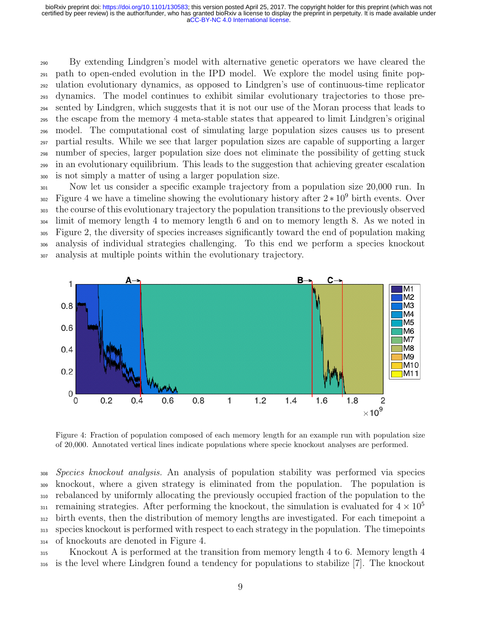By extending Lindgren's model with alternative genetic operators we have cleared the path to open-ended evolution in the IPD model. We explore the model using finite pop- ulation evolutionary dynamics, as opposed to Lindgren's use of continuous-time replicator dynamics. The model continues to exhibit similar evolutionary trajectories to those pre- sented by Lindgren, which suggests that it is not our use of the Moran process that leads to the escape from the memory 4 meta-stable states that appeared to limit Lindgren's original model. The computational cost of simulating large population sizes causes us to present partial results. While we see that larger population sizes are capable of supporting a larger number of species, larger population size does not eliminate the possibility of getting stuck in an evolutionary equilibrium. This leads to the suggestion that achieving greater escalation is not simply a matter of using a larger population size.

 Now let us consider a specific example trajectory from a population size 20,000 run. In  $_{302}$  Figure 4 we have a timeline showing the evolutionary history after  $2 * 10<sup>9</sup>$  birth events. Over the course of this evolutionary trajectory the population transitions to the previously observed limit of memory length 4 to memory length 6 and on to memory length 8. As we noted in Figure 2, the diversity of species increases significantly toward the end of population making analysis of individual strategies challenging. To this end we perform a species knockout analysis at multiple points within the evolutionary trajectory.



Figure 4: Fraction of population composed of each memory length for an example run with population size of 20,000. Annotated vertical lines indicate populations where specie knockout analyses are performed.

 Species knockout analysis. An analysis of population stability was performed via species knockout, where a given strategy is eliminated from the population. The population is rebalanced by uniformly allocating the previously occupied fraction of the population to the remaining strategies. After performing the knockout, the simulation is evaluated for  $4 \times 10^5$  birth events, then the distribution of memory lengths are investigated. For each timepoint a species knockout is performed with respect to each strategy in the population. The timepoints of knockouts are denoted in Figure 4.

 Knockout A is performed at the transition from memory length 4 to 6. Memory length 4 is the level where Lindgren found a tendency for populations to stabilize [7]. The knockout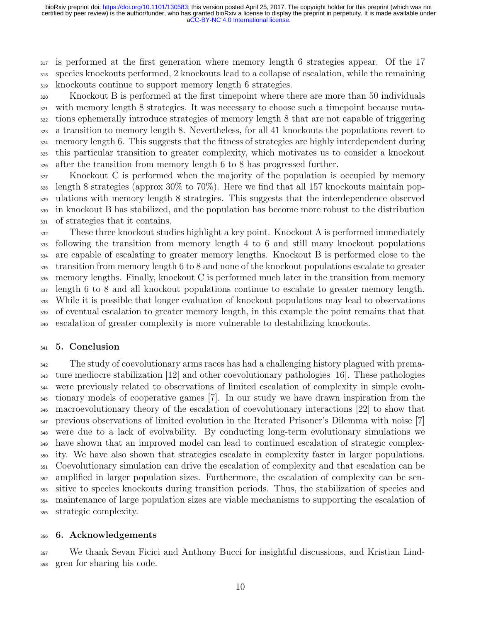317 is performed at the first generation where memory length 6 strategies appear. Of the 17 species knockouts performed, 2 knockouts lead to a collapse of escalation, while the remaining knockouts continue to support memory length 6 strategies.

 Knockout B is performed at the first timepoint where there are more than 50 individuals with memory length 8 strategies. It was necessary to choose such a timepoint because muta- tions ephemerally introduce strategies of memory length 8 that are not capable of triggering a transition to memory length 8. Nevertheless, for all 41 knockouts the populations revert to memory length 6. This suggests that the fitness of strategies are highly interdependent during this particular transition to greater complexity, which motivates us to consider a knockout after the transition from memory length 6 to 8 has progressed further.

 Knockout C is performed when the majority of the population is occupied by memory  $\frac{328}{228}$  length 8 strategies (approx 30% to 70%). Here we find that all 157 knockouts maintain pop- ulations with memory length 8 strategies. This suggests that the interdependence observed in knockout B has stabilized, and the population has become more robust to the distribution of strategies that it contains.

 These three knockout studies highlight a key point. Knockout A is performed immediately following the transition from memory length 4 to 6 and still many knockout populations are capable of escalating to greater memory lengths. Knockout B is performed close to the transition from memory length 6 to 8 and none of the knockout populations escalate to greater memory lengths. Finally, knockout C is performed much later in the transition from memory length 6 to 8 and all knockout populations continue to escalate to greater memory length. While it is possible that longer evaluation of knockout populations may lead to observations of eventual escalation to greater memory length, in this example the point remains that that escalation of greater complexity is more vulnerable to destabilizing knockouts.

### 5. Conclusion

<sup>342</sup> The study of coevolutionary arms races has had a challenging history plagued with prema- ture mediocre stabilization [12] and other coevolutionary pathologies [16]. These pathologies were previously related to observations of limited escalation of complexity in simple evolu- tionary models of cooperative games [7]. In our study we have drawn inspiration from the macroevolutionary theory of the escalation of coevolutionary interactions [22] to show that previous observations of limited evolution in the Iterated Prisoner's Dilemma with noise [7] were due to a lack of evolvability. By conducting long-term evolutionary simulations we have shown that an improved model can lead to continued escalation of strategic complex- ity. We have also shown that strategies escalate in complexity faster in larger populations. Coevolutionary simulation can drive the escalation of complexity and that escalation can be amplified in larger population sizes. Furthermore, the escalation of complexity can be sen- sitive to species knockouts during transition periods. Thus, the stabilization of species and maintenance of large population sizes are viable mechanisms to supporting the escalation of strategic complexity.

### 6. Acknowledgements

 We thank Sevan Ficici and Anthony Bucci for insightful discussions, and Kristian Lind-gren for sharing his code.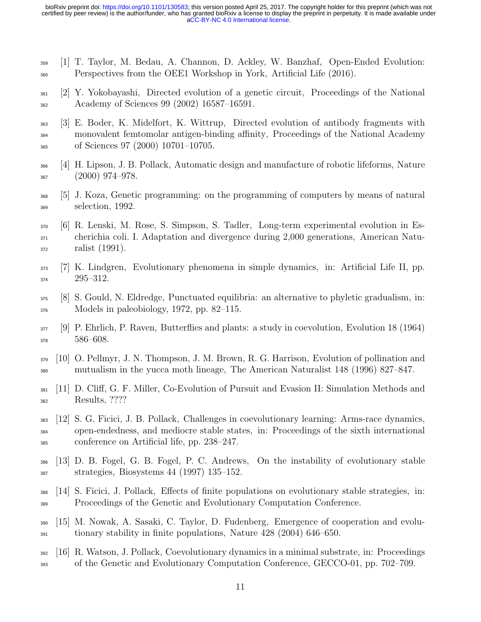- [1] T. Taylor, M. Bedau, A. Channon, D. Ackley, W. Banzhaf, Open-Ended Evolution: Perspectives from the OEE1 Workshop in York, Artificial Life (2016).
- [2] Y. Yokobayashi, Directed evolution of a genetic circuit, Proceedings of the National Academy of Sciences 99 (2002) 16587–16591.
- [3] E. Boder, K. Midelfort, K. Wittrup, Directed evolution of antibody fragments with monovalent femtomolar antigen-binding affinity, Proceedings of the National Academy of Sciences 97 (2000) 10701–10705.
- [4] H. Lipson, J. B. Pollack, Automatic design and manufacture of robotic lifeforms, Nature  $(2000)$   $974-978$ .
- [5] J. Koza, Genetic programming: on the programming of computers by means of natural selection, 1992.
- [6] R. Lenski, M. Rose, S. Simpson, S. Tadler, Long-term experimental evolution in Es- cherichia coli. I. Adaptation and divergence during 2,000 generations, American Natu-ralist (1991).
- [7] K. Lindgren, Evolutionary phenomena in simple dynamics, in: Artificial Life II, pp. 295–312.
- [8] S. Gould, N. Eldredge, Punctuated equilibria: an alternative to phyletic gradualism, in: Models in paleobiology, 1972, pp. 82–115.
- [9] P. Ehrlich, P. Raven, Butterflies and plants: a study in coevolution, Evolution 18 (1964) 586–608.
- [10] O. Pellmyr, J. N. Thompson, J. M. Brown, R. G. Harrison, Evolution of pollination and mutualism in the yucca moth lineage, The American Naturalist 148 (1996) 827–847.
- [11] D. Cliff, G. F. Miller, Co-Evolution of Pursuit and Evasion II: Simulation Methods and Results, ????
- [12] S. G. Ficici, J. B. Pollack, Challenges in coevolutionary learning: Arms-race dynamics, open-endedness, and mediocre stable states, in: Proceedings of the sixth international conference on Artificial life, pp. 238–247.
- [13] D. B. Fogel, G. B. Fogel, P. C. Andrews, On the instability of evolutionary stable strategies, Biosystems 44 (1997) 135–152.
- [14] S. Ficici, J. Pollack, Effects of finite populations on evolutionary stable strategies, in: Proceedings of the Genetic and Evolutionary Computation Conference.
- [15] M. Nowak, A. Sasaki, C. Taylor, D. Fudenberg, Emergence of cooperation and evolu-tionary stability in finite populations, Nature 428 (2004) 646–650.
- [16] R. Watson, J. Pollack, Coevolutionary dynamics in a minimal substrate, in: Proceedings of the Genetic and Evolutionary Computation Conference, GECCO-01, pp. 702–709.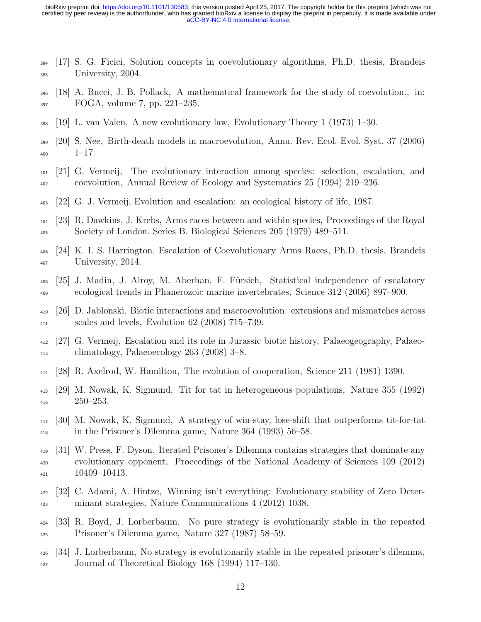- [17] S. G. Ficici, Solution concepts in coevolutionary algorithms, Ph.D. thesis, Brandeis University, 2004.
- [18] A. Bucci, J. B. Pollack, A mathematical framework for the study of coevolution., in: FOGA, volume 7, pp. 221–235.
- [19] L. van Valen, A new evolutionary law, Evolutionary Theory 1 (1973) 1–30.
- [20] S. Nee, Birth-death models in macroevolution, Annu. Rev. Ecol. Evol. Syst. 37 (2006)  $1-17.$
- [21] G. Vermeij, The evolutionary interaction among species: selection, escalation, and coevolution, Annual Review of Ecology and Systematics 25 (1994) 219–236.
- [22] G. J. Vermeij, Evolution and escalation: an ecological history of life, 1987.
- [23] R. Dawkins, J. Krebs, Arms races between and within species, Proceedings of the Royal Society of London. Series B. Biological Sciences 205 (1979) 489–511.
- [24] K. I. S. Harrington, Escalation of Coevolutionary Arms Races, Ph.D. thesis, Brandeis University, 2014.
- [25] J. Madin, J. Alroy, M. Aberhan, F. F¨ursich, Statistical independence of escalatory ecological trends in Phanerozoic marine invertebrates, Science 312 (2006) 897–900.
- [26] D. Jablonski, Biotic interactions and macroevolution: extensions and mismatches across scales and levels, Evolution 62 (2008) 715–739.
- [27] G. Vermeij, Escalation and its role in Jurassic biotic history, Palaeogeography, Palaeo-climatology, Palaeoecology 263 (2008) 3–8.
- [28] R. Axelrod, W. Hamilton, The evolution of cooperation, Science 211 (1981) 1390.
- [29] M. Nowak, K. Sigmund, Tit for tat in heterogeneous populations, Nature 355 (1992) 250–253.
- [30] M. Nowak, K. Sigmund, A strategy of win-stay, lose-shift that outperforms tit-for-tat in the Prisoner's Dilemma game, Nature 364 (1993) 56–58.
- [31] W. Press, F. Dyson, Iterated Prisoner's Dilemma contains strategies that dominate any evolutionary opponent, Proceedings of the National Academy of Sciences 109 (2012)  $10409 - 10413$ .
- [32] C. Adami, A. Hintze, Winning isn't everything: Evolutionary stability of Zero Deter-minant strategies, Nature Communications 4 (2012) 1038.
- [33] R. Boyd, J. Lorberbaum, No pure strategy is evolutionarily stable in the repeated Prisoner's Dilemma game, Nature 327 (1987) 58–59.
- [34] J. Lorberbaum, No strategy is evolutionarily stable in the repeated prisoner's dilemma, Journal of Theoretical Biology 168 (1994) 117–130.